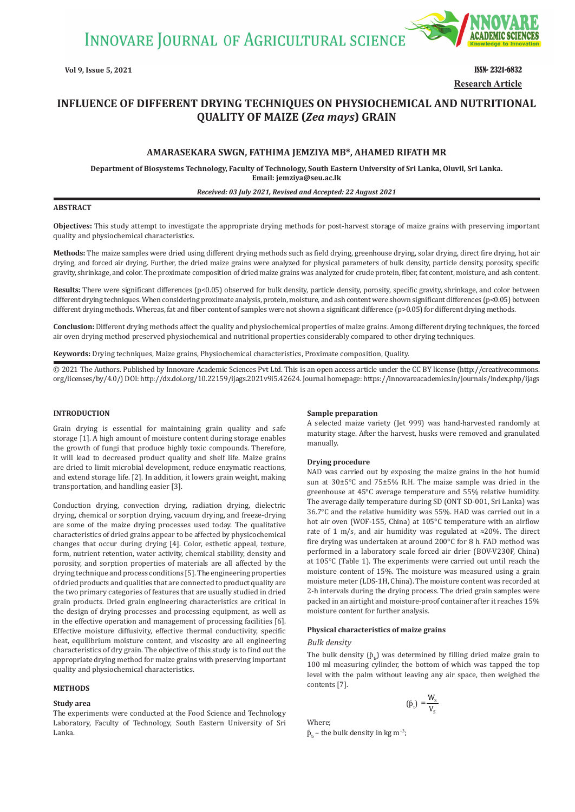**INNOVARE JOURNAL OF AGRICULTURAL SCIENCE** 



**Vol 9, Issue 5, 2021** ISSN- 2321-6832 **Research Article**

# **INFLUENCE OF DIFFERENT DRYING TECHNIQUES ON PHYSIOCHEMICAL AND NUTRITIONAL QUALITY OF MAIZE (***Zea mays***) GRAIN**

# **AMARASEKARA SWGN, FATHIMA JEMZIYA MB\*, AHAMED RIFATH MR**

**Department of Biosystems Technology, Faculty of Technology, South Eastern University of Sri Lanka, Oluvil, Sri Lanka. Email: jemziya@seu.ac.lk**

#### *Received: 03 July 2021, Revised and Accepted: 22 August 2021*

## **ABSTRACT**

**Objectives:** This study attempt to investigate the appropriate drying methods for post-harvest storage of maize grains with preserving important quality and physiochemical characteristics.

**Methods:** The maize samples were dried using different drying methods such as field drying, greenhouse drying, solar drying, direct fire drying, hot air drying, and forced air drying. Further, the dried maize grains were analyzed for physical parameters of bulk density, particle density, porosity, specific gravity, shrinkage, and color. The proximate composition of dried maize grains was analyzed for crude protein, fiber, fat content, moisture, and ash content.

Results: There were significant differences (p<0.05) observed for bulk density, particle density, porosity, specific gravity, shrinkage, and color between different drying techniques. When considering proximate analysis, protein, moisture, and ash content were shown significant differences (p<0.05) between different drying methods. Whereas, fat and fiber content of samples were not shown a significant difference (p>0.05) for different drying methods.

**Conclusion:** Different drying methods affect the quality and physiochemical properties of maize grains. Among different drying techniques, the forced air oven drying method preserved physiochemical and nutritional properties considerably compared to other drying techniques.

**Keywords:** Drying techniques, Maize grains, Physiochemical characteristics, Proximate composition, Quality.

© 2021 The Authors. Published by Innovare Academic Sciences Pvt Ltd. This is an open access article under the CC BY license (http://creativecommons. org/licenses/by/4.0/) DOI: http://dx.doi.org/10.22159/ijags.2021v9i5.42624. Journal homepage: https://innovareacademics.in/journals/index.php/ijags

#### **INTRODUCTION**

Grain drying is essential for maintaining grain quality and safe storage [1]. A high amount of moisture content during storage enables the growth of fungi that produce highly toxic compounds. Therefore, it will lead to decreased product quality and shelf life. Maize grains are dried to limit microbial development, reduce enzymatic reactions, and extend storage life. [2]. In addition, it lowers grain weight, making transportation, and handling easier [3].

Conduction drying, convection drying, radiation drying, dielectric drying, chemical or sorption drying, vacuum drying, and freeze-drying are some of the maize drying processes used today. The qualitative characteristics of dried grains appear to be affected by physicochemical changes that occur during drying [4]. Color, esthetic appeal, texture, form, nutrient retention, water activity, chemical stability, density and porosity, and sorption properties of materials are all affected by the drying technique and process conditions [5]. The engineering properties of dried products and qualities that are connected to product quality are the two primary categories of features that are usually studied in dried grain products. Dried grain engineering characteristics are critical in the design of drying processes and processing equipment, as well as in the effective operation and management of processing facilities [6]. Effective moisture diffusivity, effective thermal conductivity, specific heat, equilibrium moisture content, and viscosity are all engineering characteristics of dry grain. The objective of this study is to find out the appropriate drying method for maize grains with preserving important quality and physiochemical characteristics.

### **METHODS**

#### **Study area**

The experiments were conducted at the Food Science and Technology Laboratory, Faculty of Technology, South Eastern University of Sri Lanka.

#### **Sample preparation**

A selected maize variety (Jet 999) was hand-harvested randomly at maturity stage. After the harvest, husks were removed and granulated manually.

## **Drying procedure**

NAD was carried out by exposing the maize grains in the hot humid sun at 30±5°C and 75±5% R.H. The maize sample was dried in the greenhouse at 45°C average temperature and 55% relative humidity. The average daily temperature during SD (ONT SD-001, Sri Lanka) was 36.7°C and the relative humidity was 55%. HAD was carried out in a hot air oven (WOF-155, China) at 105°C temperature with an airflow rate of 1 m/s, and air humidity was regulated at  $\approx$ 20%. The direct fire drying was undertaken at around 200°C for 8 h. FAD method was performed in a laboratory scale forced air drier (BOV-V230F, China) at 105°C (Table 1). The experiments were carried out until reach the moisture content of 15%. The moisture was measured using a grain moisture meter (LDS-1H, China). The moisture content was recorded at 2-h intervals during the drying process. The dried grain samples were packed in an airtight and moisture-proof container after it reaches 15% moisture content for further analysis.

#### **Physical characteristics of maize grains**

#### *Bulk density*

The bulk density  $(p_{b})$  was determined by filling dried maize grain to 100 ml measuring cylinder, the bottom of which was tapped the top level with the palm without leaving any air space, then weighed the contents [7].

$$
(\hat{p}_t) = \frac{W_s}{V_s}
$$

Where;

 $\beta_{b}$  – the bulk density in kg m<sup>-3</sup>;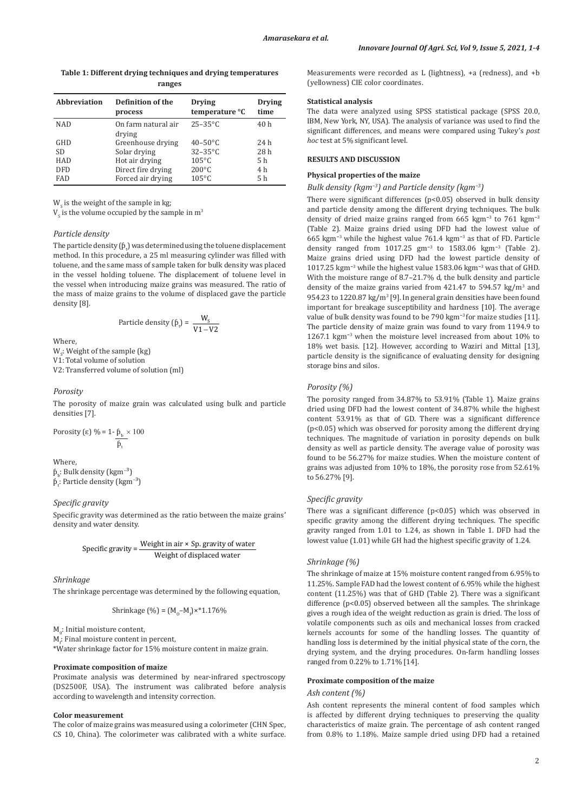## **Table 1: Different drying techniques and drying temperatures ranges**

| <b>Abbreviation</b> | <b>Definition of the</b><br>process | <b>Drying</b><br>temperature °C | <b>Drying</b><br>time |
|---------------------|-------------------------------------|---------------------------------|-----------------------|
| <b>NAD</b>          | On farm natural air                 | $25 - 35^{\circ}C$              | 40 h                  |
|                     | drying                              |                                 |                       |
| GHD                 | Greenhouse drying                   | $40 - 50^{\circ}$ C             | 24 h                  |
| <b>SD</b>           | Solar drying                        | $32-35$ °C                      | 28 h                  |
| <b>HAD</b>          | Hot air drying                      | $105^{\circ}$ C                 | 5 h                   |
| <b>DFD</b>          | Direct fire drying                  | $200^{\circ}$ C                 | 4 h                   |
| <b>FAD</b>          | Forced air drying                   | $105^{\circ}$ C                 | 5 h                   |

 $W<sub>c</sub>$  is the weight of the sample in kg;

 $V_{\rm s}$  is the volume occupied by the sample in  $\mathrm{m}^3$ 

#### *Particle density*

The particle density  $(p_t)$  was determined using the toluene displacement method. In this procedure, a 25 ml measuring cylinder was filled with toluene, and the same mass of sample taken for bulk density was placed in the vessel holding toluene. The displacement of toluene level in the vessel when introducing maize grains was measured. The ratio of the mass of maize grains to the volume of displaced gave the particle density [8].

$$
Particle density (\hat{p}_t) = \frac{W_s}{V1 - V2}
$$

Where,

 $W_s$ : Weight of the sample (kg) V1: Total volume of solution V2: Transferred volume of solution (ml)

#### *Porosity*

The porosity of maize grain was calculated using bulk and particle densities [7].

Porosity (ε) % = 
$$
1 - \frac{\beta_b}{\beta_t} \times 100
$$

# Where,

 $\mathfrak{b}_\mathfrak{b}$ : Bulk density (kgm<sup>-3</sup>)  $\mathfrak{b}_t$ : Particle density (kgm<sup>−3</sup>)

# *Specific gravity*

Specific gravity was determined as the ratio between the maize grains' density and water density.

Specific gravity = 
$$
\frac{\text{Weight in air} \times \text{Sp. gravity of water}}{\text{Weight of displaced water}}
$$

*Shrinkage*

The shrinkage percentage was determined by the following equation,

Shrinkage (%) = 
$$
(M_0 - M_f) \times 1.176\%
$$

 $M_0$ : Initial moisture content,

 $\mathsf{M}_{\mathrm{f}}$ : Final moisture content in percent,

\*Water shrinkage factor for 15% moisture content in maize grain.

## **Proximate composition of maize**

Proximate analysis was determined by near-infrared spectroscopy (DS2500F, USA). The instrument was calibrated before analysis according to wavelength and intensity correction.

### **Color measurement**

The color of maize grains was measured using a colorimeter (CHN Spec, CS 10, China). The colorimeter was calibrated with a white surface. Measurements were recorded as L (lightness), +a (redness), and +b (yellowness) CIE color coordinates.

# **Statistical analysis**

The data were analyzed using SPSS statistical package (SPSS 20.0, IBM, New York, NY, USA). The analysis of variance was used to find the significant differences, and means were compared using Tukey's *post hoc* test at 5% significant level.

## **RESULTS AND DISCUSSION**

## **Physical properties of the maize**

# *Bulk density (kgm−3) and Particle density (kgm−3)*

There were significant differences ( $p$ <0.05) observed in bulk density and particle density among the different drying techniques. The bulk density of dried maize grains ranged from 665 kgm**<sup>−</sup>**<sup>3</sup> to 761 kgm**<sup>−</sup>**<sup>3</sup> (Table 2). Maize grains dried using DFD had the lowest value of 665 kgm**<sup>−</sup>**<sup>3</sup> while the highest value 761.4 kgm**<sup>−</sup>**<sup>3</sup> as that of FD. Particle density ranged from 1017.25 gm**<sup>−</sup>**<sup>3</sup> to 1583.06 kgm**<sup>−</sup>**<sup>3</sup> (Table 2). Maize grains dried using DFD had the lowest particle density of 1017.25 kgm**<sup>−</sup>**<sup>3</sup> while the highest value 1583.06 kgm**<sup>−</sup>**<sup>3</sup> was that of GHD. With the moisture range of 8.7–21.7% d, the bulk density and particle density of the maize grains varied from  $421.47$  to  $594.57$  kg/m<sup>3</sup> and 954.23 to 1220.87 kg/m<sup>3</sup> [9]. In general grain densities have been found important for breakage susceptibility and hardness [10]. The average value of bulk density was found to be 790 kgm**<sup>−</sup>**3 for maize studies [11]. The particle density of maize grain was found to vary from 1194.9 to 1267.1 kgm**<sup>−</sup>**<sup>3</sup> when the moisture level increased from about 10% to 18% wet basis. [12]. However, according to Waziri and Mittal [13], particle density is the significance of evaluating density for designing storage bins and silos.

#### *Porosity (%)*

The porosity ranged from 34.87% to 53.91% (Table 1). Maize grains dried using DFD had the lowest content of 34.87% while the highest content 53.91% as that of GD. There was a significant difference (p<0.05) which was observed for porosity among the different drying techniques. The magnitude of variation in porosity depends on bulk density as well as particle density. The average value of porosity was found to be 56.27% for maize studies. When the moisture content of grains was adjusted from 10% to 18%, the porosity rose from 52.61% to 56.27% [9].

# *Specific gravity*

There was a significant difference (p<0.05) which was observed in specific gravity among the different drying techniques. The specific gravity ranged from 1.01 to 1.24, as shown in Table 1. DFD had the lowest value (1.01) while GH had the highest specific gravity of 1.24.

# *Shrinkage (%)*

The shrinkage of maize at 15% moisture content ranged from 6.95% to 11.25%. Sample FAD had the lowest content of 6.95% while the highest content (11.25%) was that of GHD (Table 2). There was a significant difference (p<0.05) observed between all the samples. The shrinkage gives a rough idea of the weight reduction as grain is dried. The loss of volatile components such as oils and mechanical losses from cracked kernels accounts for some of the handling losses. The quantity of handling loss is determined by the initial physical state of the corn, the drying system, and the drying procedures. On-farm handling losses ranged from 0.22% to 1.71% [14].

#### **Proximate composition of the maize**

#### *Ash content (%)*

Ash content represents the mineral content of food samples which is affected by different drying techniques to preserving the quality characteristics of maize grain. The percentage of ash content ranged from 0.8% to 1.18%. Maize sample dried using DFD had a retained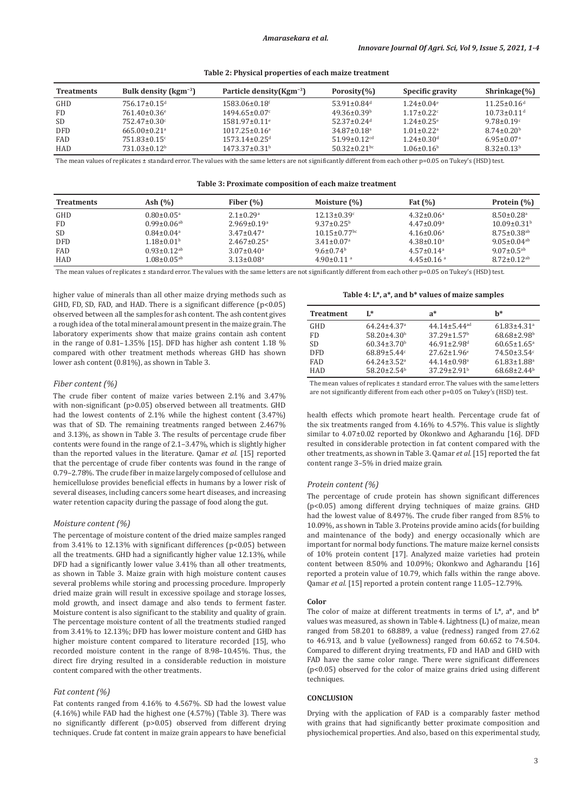**Table 2: Physical properties of each maize treatment**

| <b>Treatments</b> | Bulk density ( $\text{kgm}^{-3}$ ) | Particle density $(Kgm^{-3})$ | Porosity(%)                    | Specific gravity             | $Shrinkage(\%)$               |
|-------------------|------------------------------------|-------------------------------|--------------------------------|------------------------------|-------------------------------|
| GHD               | $756.17 \pm 0.15$ <sup>d</sup>     | 1583.06±0.18f                 | $53.91 \pm 0.84$ <sup>d</sup>  | $1.24 \pm 0.04$ <sup>e</sup> | $11.25 \pm 0.16$ <sup>d</sup> |
| <b>FD</b>         | $761.40\pm0.36^{\circ}$            | $1494.65 \pm 0.07$ °          | $49.36 \pm 0.39$ <sup>b</sup>  | $1.17 \pm 0.22$ <sup>c</sup> | $10.73 \pm 0.11$ <sup>d</sup> |
| <b>SD</b>         | $752.47 \pm 0.30$ °                | $1581.97 + 0.11$ <sup>e</sup> | $52.37+0.24d$                  | $1.24 + 0.25$ <sup>e</sup>   | $9.78 \pm 0.19$ <sup>c</sup>  |
| <b>DFD</b>        | $665.00 + 0.21$ <sup>a</sup>       | $1017.25 \pm 0.16^a$          | $34.87 \pm 0.18$ <sup>a</sup>  | $1.01 + 0.22$ <sup>a</sup>   | $8.74 + 0.20b$                |
| FAD               | $751.83 \pm 0.15$ <sup>c</sup>     | $1573.14\pm0.25$ <sup>d</sup> | $51.99 \pm 0.12$ <sup>cd</sup> | $1.24 \pm 0.30$ <sup>d</sup> | $6.95 \pm 0.07$ <sup>a</sup>  |
| <b>HAD</b>        | $731.03 \pm 0.12^b$                | $1473.37 \pm 0.31^{\circ}$    | $50.32 \pm 0.21$ <sub>bc</sub> | $1.06 \pm 0.16^b$            | $8.32 + 0.13b$                |

The mean values of replicates ± standard error. The values with the same letters are not significantly different from each other p=0.05 on Tukey's (HSD) test.

**Table 3: Proximate composition of each maize treatment**

| <b>Treatments</b> | Ash $(\%)$                    | Fiber $(\% )$                 | Moisture $(\%)$                | Fat $(\%)$                   | Protein $(\% )$               |
|-------------------|-------------------------------|-------------------------------|--------------------------------|------------------------------|-------------------------------|
| GHD               | $0.80 \pm 0.05$ <sup>a</sup>  | $2.1 + 0.29$ <sup>a</sup>     | $12.13 \pm 0.39$ <sup>c</sup>  | $4.32 \pm 0.06^{\circ}$      | $8.50 \pm 0.28$ <sup>a</sup>  |
| FD                | $0.99 \pm 0.06$ <sup>ab</sup> | $2.969 \pm 0.19$ <sup>a</sup> | $9.37 \pm 0.25^{\circ}$        | $4.47 \pm 0.09$ <sup>a</sup> | $10.09 + 0.31b$               |
| SD                | $0.84 \pm 0.04$ <sup>a</sup>  | $3.47 \pm 0.47$ <sup>a</sup>  | $10.15 \pm 0.77$ <sup>bc</sup> | $4.16 \pm 0.06^a$            | $8.75 \pm 0.38$ <sup>ab</sup> |
| <b>DFD</b>        | $1.18 \pm 0.01$ <sup>b</sup>  | $2.467 \pm 0.25$ <sup>a</sup> | $3.41 \pm 0.07$ <sup>a</sup>   | $4.38 \pm 0.10^a$            | $9.05 + 0.04$ <sup>ab</sup>   |
| FAD               | $0.93 \pm 0.12$ <sup>ab</sup> | $3.07 \pm 0.40^{\circ}$       | $9.6 \pm 0.74$ <sup>b</sup>    | $4.57 \pm 0.14$ <sup>a</sup> | $9.07 \pm 0.5$ <sup>ab</sup>  |
| <b>HAD</b>        | $1.08 \pm 0.05$ <sup>ab</sup> | $3.13 \pm 0.08$ <sup>a</sup>  | $4.90 \pm 0.11$ <sup>a</sup>   | $4.45 \pm 0.16$ <sup>a</sup> | $8.72 \pm 0.12$ <sup>ab</sup> |

The mean values of replicates ± standard error. The values with the same letters are not significantly different from each other p=0.05 on Tukey's (HSD) test.

higher value of minerals than all other maize drying methods such as GHD, FD, SD, FAD, and HAD. There is a significant difference  $(p<0.05)$ observed between all the samples for ash content. The ash content gives a rough idea of the total mineral amount present in the maize grain. The laboratory experiments show that maize grains contain ash content in the range of 0.81–1.35% [15]. DFD has higher ash content 1.18 % compared with other treatment methods whereas GHD has shown lower ash content (0.81%), as shown in Table 3.

## *Fiber content (%)*

The crude fiber content of maize varies between 2.1% and 3.47% with non-significant (p>0.05) observed between all treatments. GHD had the lowest contents of 2.1% while the highest content (3.47%) was that of SD. The remaining treatments ranged between 2.467% and 3.13%, as shown in Table 3. The results of percentage crude fiber contents were found in the range of 2.1–3.47%, which is slightly higher than the reported values in the literature. Qamar *et al.* [15] reported that the percentage of crude fiber contents was found in the range of 0.79–2.78%. The crude fiber in maize largely composed of cellulose and hemicellulose provides beneficial effects in humans by a lower risk of several diseases, including cancers some heart diseases, and increasing water retention capacity during the passage of food along the gut.

### *Moisture content (%)*

The percentage of moisture content of the dried maize samples ranged from 3.41% to 12.13% with significant differences (p<0.05) between all the treatments. GHD had a significantly higher value 12.13%, while DFD had a significantly lower value 3.41% than all other treatments, as shown in Table 3. Maize grain with high moisture content causes several problems while storing and processing procedure. Improperly dried maize grain will result in excessive spoilage and storage losses, mold growth, and insect damage and also tends to ferment faster. Moisture content is also significant to the stability and quality of grain. The percentage moisture content of all the treatments studied ranged from 3.41% to 12.13%; DFD has lower moisture content and GHD has higher moisture content compared to literature recorded [15], who recorded moisture content in the range of 8.98–10.45%. Thus, the direct fire drying resulted in a considerable reduction in moisture content compared with the other treatments.

### *Fat content (%)*

Fat contents ranged from 4.16% to 4.567%. SD had the lowest value (4.16%) while FAD had the highest one (4.57%) (Table 3). There was no significantly different (p>0.05) observed from different drying techniques. Crude fat content in maize grain appears to have beneficial

# **Table 4: L\*, a\*, and b\* values of maize samples**

| <b>Treatment</b> | $I^*$                         | $a^*$                          | h*                            |
|------------------|-------------------------------|--------------------------------|-------------------------------|
| <b>GHD</b>       | $64.24 \pm 4.37$ <sup>a</sup> | $44.14 \pm 5.44$ <sup>ad</sup> | $61.83 \pm 4.31$ <sup>a</sup> |
| FD.              | $58.20 \pm 4.30^b$            | $37.29 \pm 1.57$ <sup>b</sup>  | $68.68 \pm 2.98$ <sup>b</sup> |
| SD.              | $60.34 \pm 3.70$ <sup>b</sup> | $46.91 \pm 2.98$ <sup>d</sup>  | $60.65 \pm 1.65$ <sup>a</sup> |
| <b>DED</b>       | $68.89 \pm 5.44$              | $27.62 \pm 1.96$ <sup>e</sup>  | $74.50 \pm 3.54$ <sup>c</sup> |
| <b>FAD</b>       | $64.24 \pm 3.52$ <sup>a</sup> | $44.14 \pm 0.98$ <sup>a</sup>  | $61.83 \pm 1.88$ <sup>a</sup> |
| HAD              | $58.20 \pm 2.54$ <sup>b</sup> | $37.29 \pm 2.91$ <sup>b</sup>  | $68.68 \pm 2.44$ <sup>b</sup> |

The mean values of replicates ± standard error. The values with the same letters are not significantly different from each other p=0.05 on Tukey's (HSD) test.

health effects which promote heart health. Percentage crude fat of the six treatments ranged from 4.16% to 4.57%. This value is slightly similar to 4.07±0.02 reported by Okonkwo and Agharandu [16]. DFD resulted in considerable protection in fat content compared with the other treatments, as shown in Table 3. Qamar *et al.* [15] reported the fat content range 3–5% in dried maize grain.

#### *Protein content (%)*

The percentage of crude protein has shown significant differences (p<0.05) among different drying techniques of maize grains. GHD had the lowest value of 8.497%. The crude fiber ranged from 8.5% to 10.09%, as shown in Table 3. Proteins provide amino acids (for building and maintenance of the body) and energy occasionally which are important for normal body functions. The mature maize kernel consists of 10% protein content [17]. Analyzed maize varieties had protein content between 8.50% and 10.09%; Okonkwo and Agharandu [16] reported a protein value of 10.79, which falls within the range above. Qamar *et al.* [15] reported a protein content range 11.05–12.79%.

#### **Color**

The color of maize at different treatments in terms of  $L^*$ ,  $a^*$ , and  $b^*$ values was measured, as shown in Table 4. Lightness (L) of maize, mean ranged from 58.201 to 68.889, a value (redness) ranged from 27.62 to 46.913, and b value (yellowness) ranged from 60.652 to 74.504. Compared to different drying treatments, FD and HAD and GHD with FAD have the same color range. There were significant differences (p<0.05) observed for the color of maize grains dried using different techniques.

#### **CONCLUSION**

Drying with the application of FAD is a comparably faster method with grains that had significantly better proximate composition and physiochemical properties. And also, based on this experimental study,